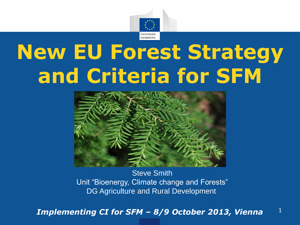

# **New EU Forest Strategy and Criteria for SFM**



**Steve Smith** Unit "Bioenergy, Climate change and Forests" DG Agriculture and Rural Development

1 *Implementing CI for SFM – 8/9 October 2013, Vienna*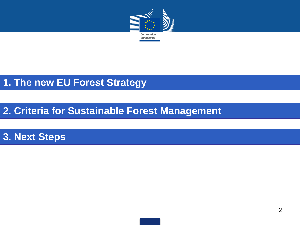

## **1. The new EU Forest Strategy**

## **2. Criteria for Sustainable Forest Management**

## **3. Next Steps**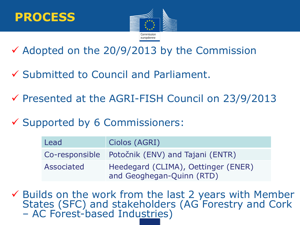



 $\checkmark$  Adopted on the 20/9/2013 by the Commission

- $\checkmark$  Submitted to Council and Parliament.
- $\checkmark$  Presented at the AGRI-FISH Council on 23/9/2013
- $\checkmark$  Supported by 6 Commissioners:

| Lead       | Ciolos (AGRI)                                                    |
|------------|------------------------------------------------------------------|
|            | Co-responsible Potočnik (ENV) and Tajani (ENTR)                  |
| Associated | Heedegard (CLIMA), Oettinger (ENER)<br>and Geoghegan-Quinn (RTD) |

3  $\checkmark$  Builds on the work from the last 2 years with Member States (SFC) and stakeholders (AG Forestry and Cork – AC Forest-based Industries)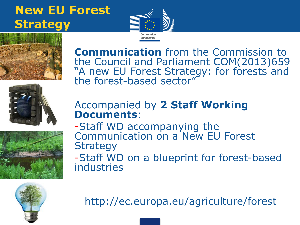## **New EU Forest Strategy**





**Communication** from the Commission to the Council and Parliament COM(2013)659 "A new EU Forest Strategy: for forests and the forest-based sector"



#### Accompanied by **2 Staff Working Documents**:

-Staff WD accompanying the Communication on a New EU Forest **Strategy** 

-Staff WD on a blueprint for forest-based industries



http://ec.europa.eu/agriculture/forest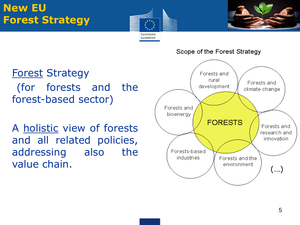## **New EU Forest Strategy**





Forest Strategy (for forests and the forest-based sector)

A holistic view of forests and all related policies, addressing also the value chain.



Scope of the Forest Strategy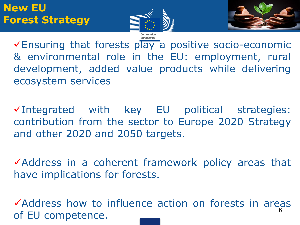



Ensuring that forests play a positive socio-economic & environmental role in the EU: employment, rural development, added value products while delivering ecosystem services

 $\checkmark$ Integrated with key EU political strategies: contribution from the sector to Europe 2020 Strategy and other 2020 and 2050 targets.

Address in a coherent framework policy areas that have implications for forests.

6 Address how to influence action on forests in areas of EU competence.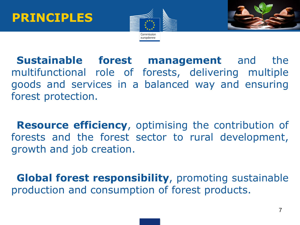



•**Sustainable forest management** and the multifunctional role of forests, delivering multiple goods and services in a balanced way and ensuring forest protection.

**Resource efficiency, optimising the contribution of** forests and the forest sector to rural development, growth and job creation.

•**Global forest responsibility**, promoting sustainable production and consumption of forest products.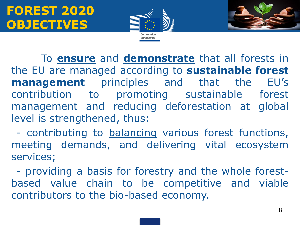



To **ensure** and **demonstrate** that all forests in the EU are managed according to **sustainable forest management** principles and that the EU's contribution to promoting sustainable forest management and reducing deforestation at global level is strengthened, thus:

•- contributing to balancing various forest functions, meeting demands, and delivering vital ecosystem services;

•- providing a basis for forestry and the whole forestbased value chain to be competitive and viable contributors to the bio-based economy.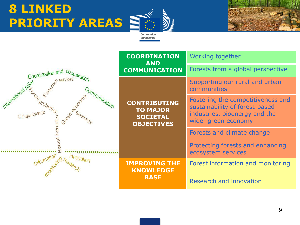# **8 LINKED PRIORITY AREAS**



Commission européenne

|                      | <b>COORDINATION</b><br><b>AND</b>                                              | Working together                                                                                                            |
|----------------------|--------------------------------------------------------------------------------|-----------------------------------------------------------------------------------------------------------------------------|
| Coordination and Co, | <b>COMMUNICATION</b>                                                           | Forests from a global perspective                                                                                           |
| temational pillar    | <b>CONTRIBUTING</b><br><b>TO MAJOR</b><br><b>SOCIETAL</b><br><b>OBJECTIVES</b> | Supporting our rural and urban<br>communities                                                                               |
|                      |                                                                                | Fostering the competitiveness and<br>sustainability of forest-based<br>industries, bioenergy and the<br>wider green economy |
|                      |                                                                                | Forests and climate change                                                                                                  |
|                      |                                                                                | Protecting forests and enhancing<br>ecosystem services                                                                      |
| Innovatior           | <b>IMPROVING THE</b><br><b>KNOWLEDGE</b><br><b>BASE</b>                        | Forest information and monitoring                                                                                           |
|                      |                                                                                | Research and innovation                                                                                                     |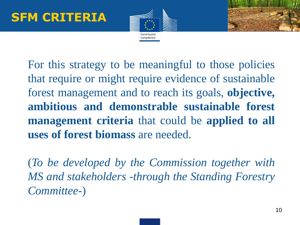



For this strategy to be meaningful to those policies that require or might require evidence of sustainable forest management and to reach its goals, **objective, ambitious and demonstrable sustainable forest management criteria** that could be **applied to all uses of forest biomass** are needed.

(*To be developed by the Commission together with MS and stakeholders -through the Standing Forestry Committee-*)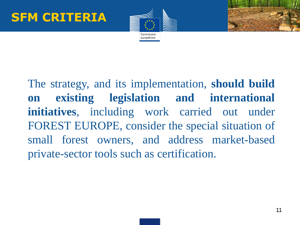



The strategy, and its implementation, **should build on existing legislation and international initiatives**, including work carried out under FOREST EUROPE, consider the special situation of small forest owners, and address market-based private-sector tools such as certification.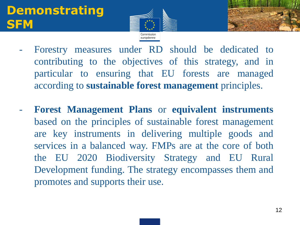## **Demonstrating SFM**



- Forestry measures under RD should be dedicated to contributing to the objectives of this strategy, and in particular to ensuring that EU forests are managed according to **sustainable forest management** principles.
- **Forest Management Plans** or **equivalent instruments** based on the principles of sustainable forest management are key instruments in delivering multiple goods and services in a balanced way. FMPs are at the core of both the EU 2020 Biodiversity Strategy and EU Rural Development funding. The strategy encompasses them and promotes and supports their use.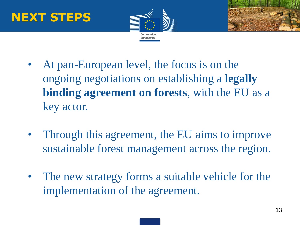## **NEXT STEPS**



- At pan-European level, the focus is on the ongoing negotiations on establishing a **legally binding agreement on forests**, with the EU as a key actor.
- Through this agreement, the EU aims to improve sustainable forest management across the region.
- The new strategy forms a suitable vehicle for the implementation of the agreement.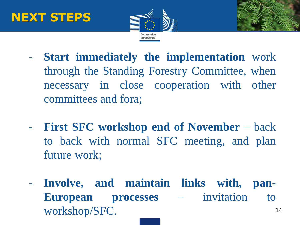# **NEXT STEPS**



- 
- **Start immediately the implementation** work through the Standing Forestry Committee, when necessary in close cooperation with other committees and fora;
- **First SFC workshop end of November** back to back with normal SFC meeting, and plan future work;
- 14 - **Involve, and maintain links with, pan-European processes** – invitation to workshop/SFC.